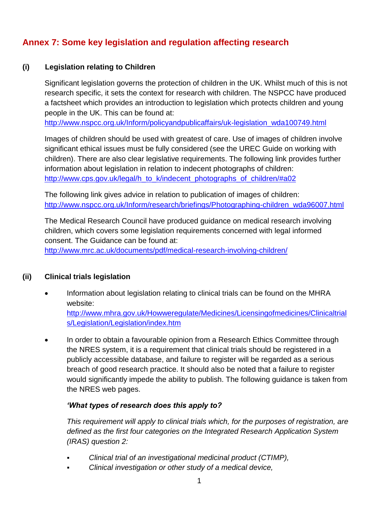# **Annex 7: Some key legislation and regulation affecting research**

### **(i) Legislation relating to Children**

Significant legislation governs the protection of children in the UK. Whilst much of this is not research specific, it sets the context for research with children. The NSPCC have produced a factsheet which provides an introduction to legislation which protects children and young people in the UK. This can be found at:

[http://www.nspcc.org.uk/Inform/policyandpublicaffairs/uk-legislation\\_wda100749.html](http://www.nspcc.org.uk/Inform/policyandpublicaffairs/uk-legislation_wda100749.html)

Images of children should be used with greatest of care. Use of images of children involve significant ethical issues must be fully considered (see the UREC Guide on working with children). There are also clear legislative requirements. The following link provides further information about legislation in relation to indecent photographs of children: [http://www.cps.gov.uk/legal/h\\_to\\_k/indecent\\_photographs\\_of\\_children/#a02](http://www.cps.gov.uk/legal/h_to_k/indecent_photographs_of_children/#a02)

The following link gives advice in relation to publication of images of children: [http://www.nspcc.org.uk/Inform/research/briefings/Photographing-children\\_wda96007.html](http://www.nspcc.org.uk/Inform/research/briefings/Photographing-children_wda96007.html)

The Medical Research Council have produced guidance on medical research involving children, which covers some legislation requirements concerned with legal informed consent. The Guidance can be found at:

<http://www.mrc.ac.uk/documents/pdf/medical-research-involving-children/>

#### **(ii) Clinical trials legislation**

- Information about legislation relating to clinical trials can be found on the MHRA website: [http://www.mhra.gov.uk/Howweregulate/Medicines/Licensingofmedicines/Clinicaltrial](http://www.mhra.gov.uk/Howweregulate/Medicines/Licensingofmedicines/Clinicaltrials/Legislation/Legislation/index.htm) [s/Legislation/Legislation/index.htm](http://www.mhra.gov.uk/Howweregulate/Medicines/Licensingofmedicines/Clinicaltrials/Legislation/Legislation/index.htm)
	- In order to obtain a favourable opinion from a Research Ethics Committee through the NRES system, it is a requirement that clinical trials should be registered in a publicly accessible database, and failure to register will be regarded as a serious breach of good research practice. It should also be noted that a failure to register would significantly impede the ability to publish. The following guidance is taken from the NRES web pages.

#### *'What types of research does this apply to?*

*This requirement will apply to clinical trials which, for the purposes of registration, are defined as the first four categories on the Integrated Research Application System (IRAS) question 2:* 

- *Clinical trial of an investigational medicinal product (CTIMP),*
- *Clinical investigation or other study of a medical device,*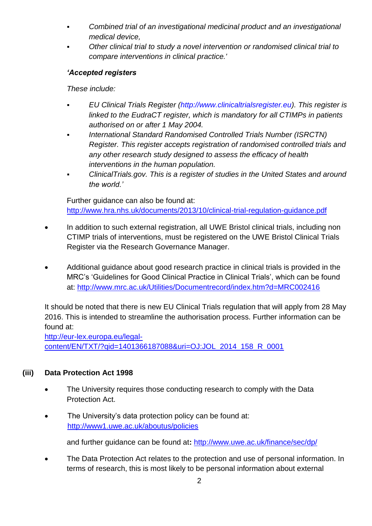- *Combined trial of an investigational medicinal product and an investigational medical device,*
- *Other clinical trial to study a novel intervention or randomised clinical trial to compare interventions in clinical practice.'*

## *'Accepted registers*

*These include:* 

- *EU Clinical Trials Register [\(http://www.clinicaltrialsregister.eu\)](http://www.clinicaltrialsregister.eu/). This register is linked to the EudraCT register, which is mandatory for all CTIMPs in patients authorised on or after 1 May 2004.*
- *International Standard Randomised Controlled Trials Number (ISRCTN) Register. This register accepts registration of randomised controlled trials and any other research study designed to assess the efficacy of health interventions in the human population.*
- *ClinicalTrials.gov. This is a register of studies in the United States and around the world.'*

Further guidance can also be found at: <http://www.hra.nhs.uk/documents/2013/10/clinical-trial-regulation-guidance.pdf>

- In addition to such external registration, all UWE Bristol clinical trials, including non CTIMP trials of interventions, must be registered on the UWE Bristol Clinical Trials Register via the Research Governance Manager.
- Additional guidance about good research practice in clinical trials is provided in the MRC's 'Guidelines for Good Clinical Practice in Clinical Trials', which can be found at:<http://www.mrc.ac.uk/Utilities/Documentrecord/index.htm?d=MRC002416>

It should be noted that there is new EU Clinical Trials regulation that will apply from 28 May 2016. This is intended to streamline the authorisation process. Further information can be found at:

[http://eur-lex.europa.eu/legal](http://eur-lex.europa.eu/legal-content/EN/TXT/?qid=1401366187088&uri=OJ:JOL_2014_158_R_0001)[content/EN/TXT/?qid=1401366187088&uri=OJ:JOL\\_2014\\_158\\_R\\_0001](http://eur-lex.europa.eu/legal-content/EN/TXT/?qid=1401366187088&uri=OJ:JOL_2014_158_R_0001)

# **(iii) Data Protection Act 1998**

- The University requires those conducting research to comply with the Data Protection Act.
- The University's data protection policy can be found at: <http://www1.uwe.ac.uk/aboutus/policies>

and further guidance can be found at**:** <http://www.uwe.ac.uk/finance/sec/dp/>

 The Data Protection Act relates to the protection and use of personal information. In terms of research, this is most likely to be personal information about external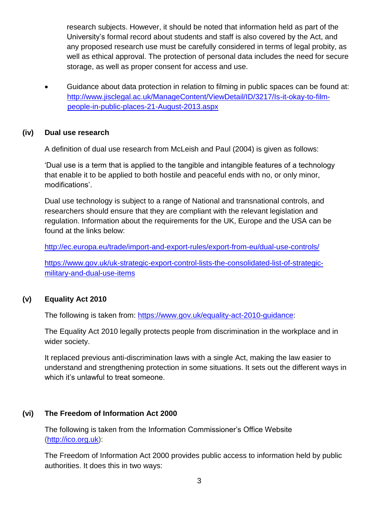research subjects. However, it should be noted that information held as part of the University's formal record about students and staff is also covered by the Act, and any proposed research use must be carefully considered in terms of legal probity, as well as ethical approval. The protection of personal data includes the need for secure storage, as well as proper consent for access and use.

 Guidance about data protection in relation to filming in public spaces can be found at: [http://www.jisclegal.ac.uk/ManageContent/ViewDetail/ID/3217/Is-it-okay-to-film](http://www.jisclegal.ac.uk/ManageContent/ViewDetail/ID/3217/Is-it-okay-to-film-people-in-public-places-21-August-2013.aspx)[people-in-public-places-21-August-2013.aspx](http://www.jisclegal.ac.uk/ManageContent/ViewDetail/ID/3217/Is-it-okay-to-film-people-in-public-places-21-August-2013.aspx)

#### **(iv) Dual use research**

A definition of dual use research from McLeish and Paul (2004) is given as follows:

'Dual use is a term that is applied to the tangible and intangible features of a technology that enable it to be applied to both hostile and peaceful ends with no, or only minor, modifications'.

Dual use technology is subject to a range of National and transnational controls, and researchers should ensure that they are compliant with the relevant legislation and regulation. Information about the requirements for the UK, Europe and the USA can be found at the links below:

<http://ec.europa.eu/trade/import-and-export-rules/export-from-eu/dual-use-controls/>

[https://www.gov.uk/uk-strategic-export-control-lists-the-consolidated-list-of-strategic](https://www.gov.uk/uk-strategic-export-control-lists-the-consolidated-list-of-strategic-military-and-dual-use-items)[military-and-dual-use-items](https://www.gov.uk/uk-strategic-export-control-lists-the-consolidated-list-of-strategic-military-and-dual-use-items)

#### **(v) Equality Act 2010**

The following is taken from: [https://www.gov.uk/equality-act-2010-guidance:](https://www.gov.uk/equality-act-2010-guidance)

The Equality Act 2010 legally protects people from discrimination in the workplace and in wider society.

It replaced previous anti-discrimination laws with a single Act, making the law easier to understand and strengthening protection in some situations. It sets out the different ways in which it's unlawful to treat someone.

## **(vi) The Freedom of Information Act 2000**

The following is taken from the Information Commissioner's Office Website [\(http://ico.org.uk\)](http://ico.org.uk/):

The Freedom of Information Act 2000 provides public access to information held by public authorities. It does this in two ways: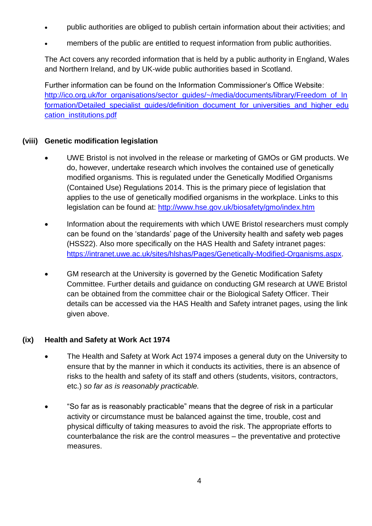- public authorities are obliged to publish certain information about their activities; and
- members of the public are entitled to request information from public authorities.

The Act covers any recorded information that is held by a public authority in England, Wales and Northern Ireland, and by UK-wide public authorities based in Scotland.

Further information can be found on the Information Commissioner's Office Website: [http://ico.org.uk/for\\_organisations/sector\\_guides/~/media/documents/library/Freedom\\_of\\_In](http://ico.org.uk/for_organisations/sector_guides/~/media/documents/library/Freedom_of_Information/Detailed_specialist_guides/definition_document_for_universities_and_higher_education_institutions.pdf) [formation/Detailed\\_specialist\\_guides/definition\\_document\\_for\\_universities\\_and\\_higher\\_edu](http://ico.org.uk/for_organisations/sector_guides/~/media/documents/library/Freedom_of_Information/Detailed_specialist_guides/definition_document_for_universities_and_higher_education_institutions.pdf) [cation\\_institutions.pdf](http://ico.org.uk/for_organisations/sector_guides/~/media/documents/library/Freedom_of_Information/Detailed_specialist_guides/definition_document_for_universities_and_higher_education_institutions.pdf)

## **(viii) Genetic modification legislation**

- UWE Bristol is not involved in the release or marketing of GMOs or GM products. We do, however, undertake research which involves the contained use of genetically modified organisms. This is regulated under the Genetically Modified Organisms (Contained Use) Regulations 2014. This is the primary piece of legislation that applies to the use of genetically modified organisms in the workplace. Links to this legislation can be found at:<http://www.hse.gov.uk/biosafety/gmo/index.htm>
- Information about the requirements with which UWE Bristol researchers must comply can be found on the 'standards' page of the University health and safety web pages (HSS22). Also more specifically on the HAS Health and Safety intranet pages: [https://intranet.uwe.ac.uk/sites/hlshas/Pages/Genetically-Modified-Organisms.aspx.](https://intranet.uwe.ac.uk/sites/hlshas/Pages/Genetically-Modified-Organisms.aspx)
- GM research at the University is governed by the Genetic Modification Safety Committee. Further details and guidance on conducting GM research at UWE Bristol can be obtained from the committee chair or the Biological Safety Officer. Their details can be accessed via the HAS Health and Safety intranet pages, using the link given above.

# **(ix) Health and Safety at Work Act 1974**

- The Health and Safety at Work Act 1974 imposes a general duty on the University to ensure that by the manner in which it conducts its activities, there is an absence of risks to the health and safety of its staff and others (students, visitors, contractors, etc.) *so far as is reasonably practicable.*
- "So far as is reasonably practicable" means that the degree of risk in a particular activity or circumstance must be balanced against the time, trouble, cost and physical difficulty of taking measures to avoid the risk. The appropriate efforts to counterbalance the risk are the control measures – the preventative and protective measures.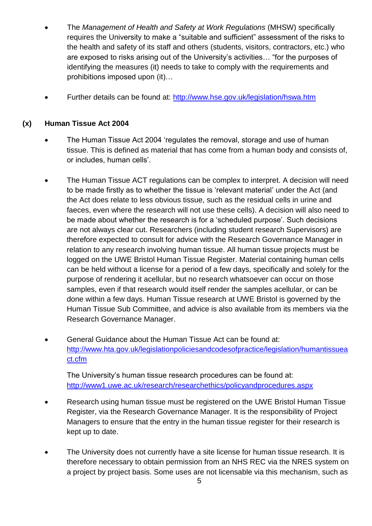- The *Management of Health and Safety at Work Regulations* (MHSW) specifically requires the University to make a "suitable and sufficient" assessment of the risks to the health and safety of its staff and others (students, visitors, contractors, etc.) who are exposed to risks arising out of the University's activities… "for the purposes of identifying the measures (it) needs to take to comply with the requirements and prohibitions imposed upon (it)…
- Further details can be found at:<http://www.hse.gov.uk/legislation/hswa.htm>

### **(x) Human Tissue Act 2004**

- The Human Tissue Act 2004 'regulates the removal, storage and use of human tissue. This is defined as material that has come from a human body and consists of, or includes, human cells'.
- The Human Tissue ACT regulations can be complex to interpret. A decision will need to be made firstly as to whether the tissue is 'relevant material' under the Act (and the Act does relate to less obvious tissue, such as the residual cells in urine and faeces, even where the research will not use these cells). A decision will also need to be made about whether the research is for a 'scheduled purpose'. Such decisions are not always clear cut. Researchers (including student research Supervisors) are therefore expected to consult for advice with the Research Governance Manager in relation to any research involving human tissue. All human tissue projects must be logged on the UWE Bristol Human Tissue Register. Material containing human cells can be held without a license for a period of a few days, specifically and solely for the purpose of rendering it acellular, but no research whatsoever can occur on those samples, even if that research would itself render the samples acellular, or can be done within a few days. Human Tissue research at UWE Bristol is governed by the Human Tissue Sub Committee, and advice is also available from its members via the Research Governance Manager.
- General Guidance about the Human Tissue Act can be found at: [http://www.hta.gov.uk/legislationpoliciesandcodesofpractice/legislation/humantissuea](http://www.hta.gov.uk/legislationpoliciesandcodesofpractice/legislation/humantissueact.cfm) [ct.cfm](http://www.hta.gov.uk/legislationpoliciesandcodesofpractice/legislation/humantissueact.cfm)

The University's human tissue research procedures can be found at: <http://www1.uwe.ac.uk/research/researchethics/policyandprocedures.aspx>

- Research using human tissue must be registered on the UWE Bristol Human Tissue Register, via the Research Governance Manager. It is the responsibility of Project Managers to ensure that the entry in the human tissue register for their research is kept up to date.
- The University does not currently have a site license for human tissue research. It is therefore necessary to obtain permission from an NHS REC via the NRES system on a project by project basis. Some uses are not licensable via this mechanism, such as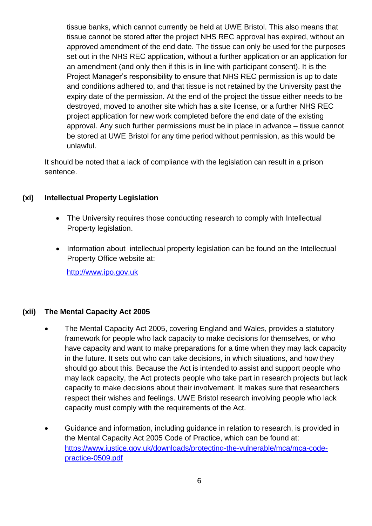tissue banks, which cannot currently be held at UWE Bristol. This also means that tissue cannot be stored after the project NHS REC approval has expired, without an approved amendment of the end date. The tissue can only be used for the purposes set out in the NHS REC application, without a further application or an application for an amendment (and only then if this is in line with participant consent). It is the Project Manager's responsibility to ensure that NHS REC permission is up to date and conditions adhered to, and that tissue is not retained by the University past the expiry date of the permission. At the end of the project the tissue either needs to be destroyed, moved to another site which has a site license, or a further NHS REC project application for new work completed before the end date of the existing approval. Any such further permissions must be in place in advance – tissue cannot be stored at UWE Bristol for any time period without permission, as this would be unlawful.

It should be noted that a lack of compliance with the legislation can result in a prison sentence.

## **(xi) Intellectual Property Legislation**

- The University requires those conducting research to comply with Intellectual Property legislation.
- Information about intellectual property legislation can be found on the Intellectual Property Office website at:

[http://www.ipo.gov.uk](http://www.ipo.gov.uk/)

## **(xii) The Mental Capacity Act 2005**

- The Mental Capacity Act 2005, covering England and Wales, provides a statutory framework for people who lack capacity to make decisions for themselves, or who have capacity and want to make preparations for a time when they may lack capacity in the future. It sets out who can take decisions, in which situations, and how they should go about this. Because the Act is intended to assist and support people who may lack capacity, the Act protects people who take part in research projects but lack capacity to make decisions about their involvement. It makes sure that researchers respect their wishes and feelings. UWE Bristol research involving people who lack capacity must comply with the requirements of the Act.
- Guidance and information, including guidance in relation to research, is provided in the Mental Capacity Act 2005 Code of Practice, which can be found at: [https://www.justice.gov.uk/downloads/protecting-the-vulnerable/mca/mca-code](https://www.justice.gov.uk/downloads/protecting-the-vulnerable/mca/mca-code-practice-0509.pdf)[practice-0509.pdf](https://www.justice.gov.uk/downloads/protecting-the-vulnerable/mca/mca-code-practice-0509.pdf)